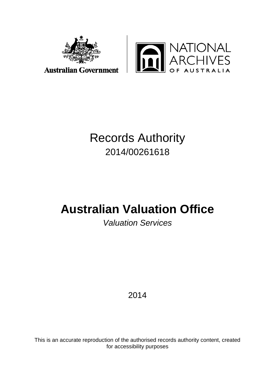



# **Australian Government**

# Records Authority 2014/00261618

# **Australian Valuation Office**

# *Valuation Services*

# 2014

This is an accurate reproduction of the authorised records authority content, created for accessibility purposes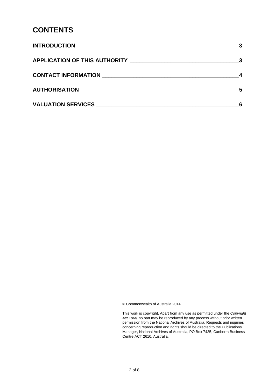#### **CONTENTS**

| APPLICATION OF THIS AUTHORITY _________________________________                                                                                                                                                                |     |
|--------------------------------------------------------------------------------------------------------------------------------------------------------------------------------------------------------------------------------|-----|
|                                                                                                                                                                                                                                |     |
|                                                                                                                                                                                                                                | - 5 |
| VALUATION SERVICES NAME AND RESERVE AND RESERVE AND RESERVE AND RESERVE AND RESERVE AND RESERVE AND RESERVE AND RESERVE AND RESERVE AND RESERVE AND RESERVE AND RESERVE AND RESERVE AND RESPONDING A SAMPLE AND RESPONDING A S | 6   |

© Commonwealth of Australia 2014

This work is copyright. Apart from any use as permitted under the *Copyright Act 1968,* no part may be reproduced by any process without prior written permission from the National Archives of Australia. Requests and inquiries concerning reproduction and rights should be directed to the Publications Manager, National Archives of Australia, PO Box 7425, Canberra Business Centre ACT 2610, Australia.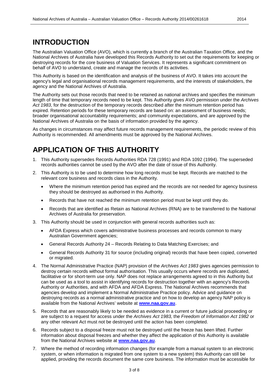#### <span id="page-2-0"></span>**INTRODUCTION**

The Australian Valuation Office (AVO), which is currently a branch of the Australian Taxation Office, and the National Archives of Australia have developed this Records Authority to set out the requirements for keeping or destroying records for the core business of Valuation Services. It represents a significant commitment on behalf of AVO to understand, create and manage the records of its activities.

This Authority is based on the identification and analysis of the business of AVO. It takes into account the agency's legal and organisational records management requirements, and the interests of stakeholders, the agency and the National Archives of Australia.

The Authority sets out those records that need to be retained as national archives and specifies the minimum length of time that temporary records need to be kept. This Authority gives AVO permission under the *Archives Act 1983*, for the destruction of the temporary records described after the minimum retention period has expired. Retention periods for these temporary records are based on: an assessment of business needs; broader organisational accountability requirements; and community expectations, and are approved by the National Archives of Australia on the basis of information provided by the agency.

As changes in circumstances may affect future records management requirements, the periodic review of this Authority is recommended. All amendments must be approved by the National Archives.

#### <span id="page-2-1"></span>**APPLICATION OF THIS AUTHORITY**

- 1. This Authority supersedes Records Authorities RDA 728 (1991) and RDA 1092 (1994). The superseded records authorities cannot be used by the AVO after the date of issue of this Authority.
- 2. This Authority is to be used to determine how long records must be kept. Records are matched to the relevant core business and records class in the Authority.
	- Where the minimum retention period has expired and the records are not needed for agency business they should be destroyed as authorised in this Authority.
	- Records that have not reached the minimum retention period must be kept until they do.
	- Records that are identified as Retain as National Archives (RNA) are to be transferred to the National Archives of Australia for preservation.
- 3. This Authority should be used in conjunction with general records authorities such as:
	- AFDA Express which covers administrative business processes and records common to many Australian Government agencies;
	- General Records Authority 24 Records Relating to Data Matching Exercises; and
	- General Records Authority 31 for source (including original) records that have been copied, converted or migrated.
- 4. The Normal Administrative Practice (NAP) provision of the *Archives Act 1983* gives agencies permission to destroy certain records without formal authorisation. This usually occurs where records are duplicated, facilitative or for short-term use only. NAP does not replace arrangements agreed to in this Authority but can be used as a tool to assist in identifying records for destruction together with an agency's Records Authority or Authorities, and with AFDA and AFDA Express. The National Archives recommends that agencies develop and implement a Normal Administrative Practice policy. Advice and guidance on destroying records as a normal administrative practice and on how to develop an agency NAP policy is available from the National Archives' website at **[www.naa.gov.au](http://www.naa.gov.au/)**.
- 5. Records that are reasonably likely to be needed as evidence in a current or future judicial proceeding or are subject to a request for access under the *Archives Act 1983,* the *Freedom of Information Act 1982* or any other relevant Act must not be destroyed until the action has been completed.
- 6. Records subject to a disposal freeze must not be destroyed until the freeze has been lifted. Further information about disposal freezes and whether they affect the application of this Authority is available from the National Archives website at **[www.naa.gov.au](http://www.naa.gov.au/)**.
- 7. Where the method of recording information changes (for example from a manual system to an electronic system, or when information is migrated from one system to a new system) this Authority can still be applied, providing the records document the same core business. The information must be accessible for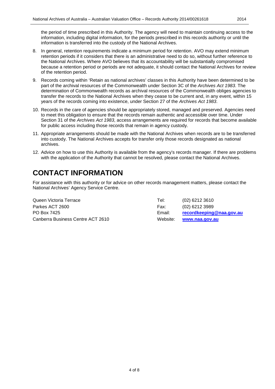the period of time prescribed in this Authority. The agency will need to maintain continuing access to the information, including digital information, for the periods prescribed in this records authority or until the information is transferred into the custody of the National Archives.

- 8. In general, retention requirements indicate a minimum period for retention. AVO may extend minimum retention periods if it considers that there is an administrative need to do so, without further reference to the National Archives. Where AVO believes that its accountability will be substantially compromised because a retention period or periods are not adequate, it should contact the National Archives for review of the retention period.
- 9. Records coming within 'Retain as national archives' classes in this Authority have been determined to be part of the archival resources of the Commonwealth under Section 3C of the *Archives Act 1983*. The determination of Commonwealth records as archival resources of the Commonwealth obliges agencies to transfer the records to the National Archives when they cease to be current and, in any event, within 15 years of the records coming into existence, under Section 27 of the *Archives Act 1983*.
- 10. Records in the care of agencies should be appropriately stored, managed and preserved. Agencies need to meet this obligation to ensure that the records remain authentic and accessible over time. Under Section 31 of the *Archives Act 1983*, access arrangements are required for records that become available for public access including those records that remain in agency custody.
- 11. Appropriate arrangements should be made with the National Archives when records are to be transferred into custody. The National Archives accepts for transfer only those records designated as national archives.
- 12. Advice on how to use this Authority is available from the agency's records manager. If there are problems with the application of the Authority that cannot be resolved, please contact the National Archives.

### <span id="page-3-0"></span>**CONTACT INFORMATION**

For assistance with this authority or for advice on other records management matters, please contact the National Archives' Agency Service Centre.

Queen Victoria Terrace Tel: (02) 6212 3610 Parkes ACT 2600 Fax: (02) 6212 3989 PO Box 7425 Email: **[recordkeeping@naa.gov.au](mailto:recordkeeping@naa.gov.au)** Canberra Business Centre ACT 2610 Website: **[www.naa.gov.au](http://www.naa.gov.au/)**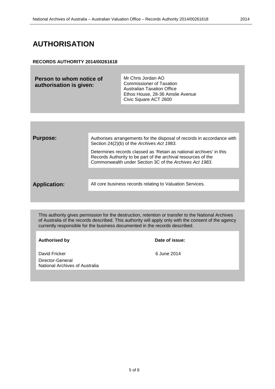#### <span id="page-4-0"></span>**AUTHORISATION**

#### **RECORDS AUTHORITY 2014/00261618**

| authorisation is given:<br><b>Australian Taxation Office</b><br>Ethos House, 28-36 Ainslie Avenue<br>Civic Square ACT 2600 | Person to whom notice of | Mr Chris Jordan AO<br><b>Commissioner of Taxation</b> |
|----------------------------------------------------------------------------------------------------------------------------|--------------------------|-------------------------------------------------------|
|----------------------------------------------------------------------------------------------------------------------------|--------------------------|-------------------------------------------------------|

| <b>Purpose:</b>     | Authorises arrangements for the disposal of records in accordance with<br>Section 24(2)(b) of the Archives Act 1983.                                                                            |
|---------------------|-------------------------------------------------------------------------------------------------------------------------------------------------------------------------------------------------|
|                     | Determines records classed as 'Retain as national archives' in this<br>Records Authority to be part of the archival resources of the<br>Commonwealth under Section 3C of the Archives Act 1983. |
|                     |                                                                                                                                                                                                 |
| <b>Application:</b> | All core business records relating to Valuation Services.                                                                                                                                       |
|                     |                                                                                                                                                                                                 |

This authority gives permission for the destruction, retention or transfer to the National Archives of Australia of the records described. This authority will apply only with the consent of the agency currently responsible for the business documented in the records described.

#### **Authorised by Date of issue:**

David Fricker **6 June 2014** Director-General National Archives of Australia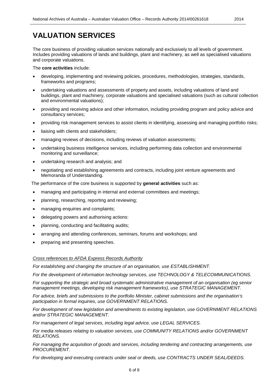### <span id="page-5-0"></span>**VALUATION SERVICES**

The core business of providing valuation services nationally and exclusively to all levels of government. Includes providing valuations of lands and buildings, plant and machinery, as well as specialised valuations and corporate valuations.

The **core activities** include:

- developing, implementing and reviewing policies, procedures, methodologies, strategies, standards, frameworks and programs;
- undertaking valuations and assessments of property and assets, including valuations of land and buildings, plant and machinery, corporate valuations and specialised valuations (such as cultural collection and environmental valuations);
- providing and receiving advice and other information, including providing program and policy advice and consultancy services;
- providing risk management services to assist clients in identifying, assessing and managing portfolio risks;
- liaising with clients and stakeholders;
- managing reviews of decisions, including reviews of valuation assessments;
- undertaking business intelligence services, including performing data collection and environmental monitoring and surveillance;
- undertaking research and analysis; and
- negotiating and establishing agreements and contracts, including joint venture agreements and Memoranda of Understanding.

The performance of the core business is supported by **general activities** such as:

- managing and participating in internal and external committees and meetings;
- planning, researching, reporting and reviewing;
- managing enquiries and complaints;
- delegating powers and authorising actions:
- planning, conducting and facilitating audits;
- arranging and attending conferences, seminars, forums and workshops; and
- preparing and presenting speeches.

#### *Cross references to AFDA Express Records Authority*

*For establishing and changing the structure of an organisation, use ESTABLISHMENT.*

*For the development of information technology services, use TECHNOLOGY & TELECOMMUNICATIONS.*

*For supporting the strategic and broad systematic administrative management of an organisation (eg senior management meetings, developing risk management frameworks), use STRATEGIC MANAGEMENT.* 

*For advice, briefs and submissions to the portfolio Minister, cabinet submissions and the organisation's participation in formal inquiries, use GOVERNMENT RELATIONS.*

*For development of new legislation and amendments to existing legislation, use GOVERNMENT RELATIONS and/or STRATEGIC MANAGEMENT.*

*For management of legal services, including legal advice, use LEGAL SERVICES.*

*For media releases relating to valuation services, use COMMUNITY RELATIONS and/or GOVERNMENT RELATIONS.*

*For managing the acquisition of goods and services, including tendering and contracting arrangements, use PROCUREMENT.* 

*For developing and executing contracts under seal or deeds, use CONTRACTS UNDER SEAL/DEEDS.*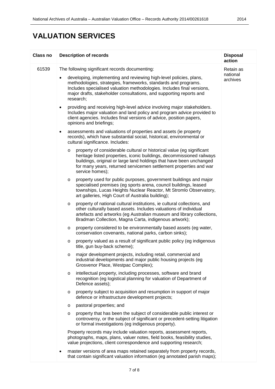### **VALUATION SERVICES**

| Class no | <b>Description of records</b>                                                                                                                                                                                                                                                                                            | <b>Disposal</b><br>action |
|----------|--------------------------------------------------------------------------------------------------------------------------------------------------------------------------------------------------------------------------------------------------------------------------------------------------------------------------|---------------------------|
| 61539    | The following significant records documenting:                                                                                                                                                                                                                                                                           | Retain as                 |
|          | developing, implementing and reviewing high-level policies, plans,<br>methodologies, strategies, frameworks, standards and programs.<br>Includes specialised valuation methodologies. Includes final versions,<br>major drafts, stakeholder consultations, and supporting reports and<br>research;                       | national<br>archives      |
|          | providing and receiving high-level advice involving major stakeholders.<br>$\bullet$<br>Includes major valuation and land policy and program advice provided to<br>client agencies. Includes final versions of advice, position papers,<br>opinions and briefings;                                                       |                           |
|          | assessments and valuations of properties and assets (ie property<br>$\bullet$<br>records), which have substantial social, historical, environmental or<br>cultural significance. Includes:                                                                                                                               |                           |
|          | property of considerable cultural or historical value (eg significant<br>$\circ$<br>heritage listed properties, iconic buildings, decommissioned railways<br>buildings, original or large land holdings that have been unchanged<br>for many years, returned servicemen settlement properties and war<br>service homes); |                           |
|          | property used for public purposes, government buildings and major<br>$\circ$<br>specialised premises (eg sports arena, council buildings, leased<br>townships, Lucas Heights Nuclear Reactor, Mt Stromlo Observatory,<br>art galleries, High Court of Australia building);                                               |                           |
|          | property of national cultural institutions, ie cultural collections, and<br>$\circ$<br>other culturally based assets. Includes valuations of individual<br>artefacts and artworks (eg Australian museum and library collections,<br>Bradman Collection, Magna Carta, indigenous artwork);                                |                           |
|          | property considered to be environmentally based assets (eg water,<br>$\circ$<br>conservation covenants, national parks, carbon sinks);                                                                                                                                                                                   |                           |
|          | property valued as a result of significant public policy (eg indigenous<br>$\circ$<br>title, gun buy-back scheme);                                                                                                                                                                                                       |                           |
|          | major development projects, including retail, commercial and<br>$\circ$<br>industrial developments and major public housing projects (eg<br>Grosvenor Place, Westpac Complex);                                                                                                                                           |                           |
|          | intellectual property, including processes, software and brand<br>$\circ$<br>recognition (eg logistical planning for valuation of Department of<br>Defence assets);                                                                                                                                                      |                           |
|          | property subject to acquisition and resumption in support of major<br>$\circ$<br>defence or infrastructure development projects;                                                                                                                                                                                         |                           |
|          | pastoral properties; and<br>O                                                                                                                                                                                                                                                                                            |                           |
|          | property that has been the subject of considerable public interest or<br>$\circ$<br>controversy, or the subject of significant or precedent-setting litigation<br>or formal investigations (eg indigenous property).                                                                                                     |                           |
|          | Property records may include valuation reports, assessment reports,<br>photographs, maps, plans, valuer notes, field books, feasibility studies,<br>value projections, client correspondence and supporting research;                                                                                                    |                           |
|          | master versions of area maps retained separately from property records,<br>$\bullet$<br>that contain significant valuation information (eg annotated parish maps);                                                                                                                                                       |                           |